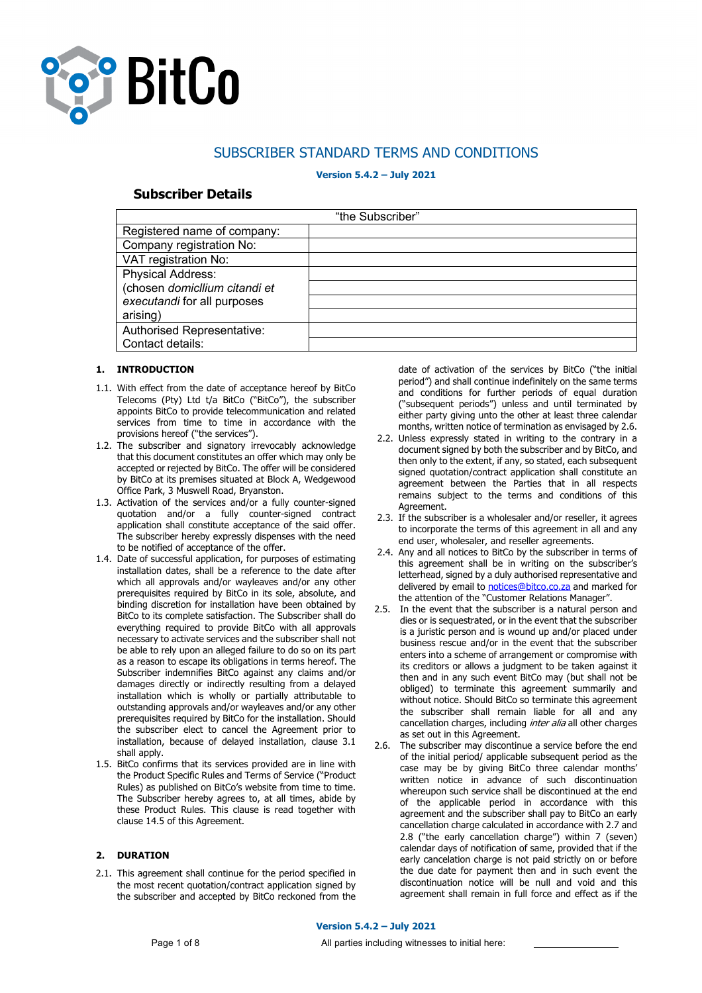

# SUBSCRIBER STANDARD TERMS AND CONDITIONS

# **Version 5.4.2 – July 2021**

# **Subscriber Details**

| "the Subscriber"                                                                                     |  |  |
|------------------------------------------------------------------------------------------------------|--|--|
| Registered name of company:                                                                          |  |  |
| Company registration No:                                                                             |  |  |
| VAT registration No:                                                                                 |  |  |
| <b>Physical Address:</b><br>(chosen domicllium citandi et<br>executandi for all purposes<br>arising) |  |  |
| Authorised Representative:<br>Contact details:                                                       |  |  |

# **1. INTRODUCTION**

- 1.1. With effect from the date of acceptance hereof by BitCo Telecoms (Pty) Ltd t/a BitCo ("BitCo"), the subscriber appoints BitCo to provide telecommunication and related services from time to time in accordance with the provisions hereof ("the services").
- 1.2. The subscriber and signatory irrevocably acknowledge that this document constitutes an offer which may only be accepted or rejected by BitCo. The offer will be considered by BitCo at its premises situated at Block A, Wedgewood Office Park, 3 Muswell Road, Bryanston.
- 1.3. Activation of the services and/or a fully counter-signed quotation and/or a fully counter-signed contract application shall constitute acceptance of the said offer. The subscriber hereby expressly dispenses with the need to be notified of acceptance of the offer.
- 1.4. Date of successful application, for purposes of estimating installation dates, shall be a reference to the date after which all approvals and/or wayleaves and/or any other prerequisites required by BitCo in its sole, absolute, and binding discretion for installation have been obtained by BitCo to its complete satisfaction. The Subscriber shall do everything required to provide BitCo with all approvals necessary to activate services and the subscriber shall not be able to rely upon an alleged failure to do so on its part as a reason to escape its obligations in terms hereof. The Subscriber indemnifies BitCo against any claims and/or damages directly or indirectly resulting from a delayed installation which is wholly or partially attributable to outstanding approvals and/or wayleaves and/or any other prerequisites required by BitCo for the installation. Should the subscriber elect to cancel the Agreement prior to installation, because of delayed installation, clause 3.1 shall apply.
- 1.5. BitCo confirms that its services provided are in line with the Product Specific Rules and Terms of Service ("Product Rules) as published on BitCo's website from time to time. The Subscriber hereby agrees to, at all times, abide by these Product Rules. This clause is read together with clause 14.5 of this Agreement.

## **2. DURATION**

2.1. This agreement shall continue for the period specified in the most recent quotation/contract application signed by the subscriber and accepted by BitCo reckoned from the date of activation of the services by BitCo ("the initial period") and shall continue indefinitely on the same terms and conditions for further periods of equal duration ("subsequent periods") unless and until terminated by either party giving unto the other at least three calendar months, written notice of termination as envisaged by 2.6.

- 2.2. Unless expressly stated in writing to the contrary in a document signed by both the subscriber and by BitCo, and then only to the extent, if any, so stated, each subsequent signed quotation/contract application shall constitute an agreement between the Parties that in all respects remains subject to the terms and conditions of this Agreement.
- 2.3. If the subscriber is a wholesaler and/or reseller, it agrees to incorporate the terms of this agreement in all and any end user, wholesaler, and reseller agreements.
- 2.4. Any and all notices to BitCo by the subscriber in terms of this agreement shall be in writing on the subscriber's letterhead, signed by a duly authorised representative and delivered by email to notices@bitco.co.za and marked for the attention of the "Customer Relations Manager".
- 2.5. In the event that the subscriber is a natural person and dies or is sequestrated, or in the event that the subscriber is a juristic person and is wound up and/or placed under business rescue and/or in the event that the subscriber enters into a scheme of arrangement or compromise with its creditors or allows a judgment to be taken against it then and in any such event BitCo may (but shall not be obliged) to terminate this agreement summarily and without notice. Should BitCo so terminate this agreement the subscriber shall remain liable for all and any cancellation charges, including *inter alia* all other charges as set out in this Agreement.
- 2.6. The subscriber may discontinue a service before the end of the initial period/ applicable subsequent period as the case may be by giving BitCo three calendar months' written notice in advance of such discontinuation whereupon such service shall be discontinued at the end of the applicable period in accordance with this agreement and the subscriber shall pay to BitCo an early cancellation charge calculated in accordance with 2.7 and 2.8 ("the early cancellation charge") within 7 (seven) calendar days of notification of same, provided that if the early cancelation charge is not paid strictly on or before the due date for payment then and in such event the discontinuation notice will be null and void and this agreement shall remain in full force and effect as if the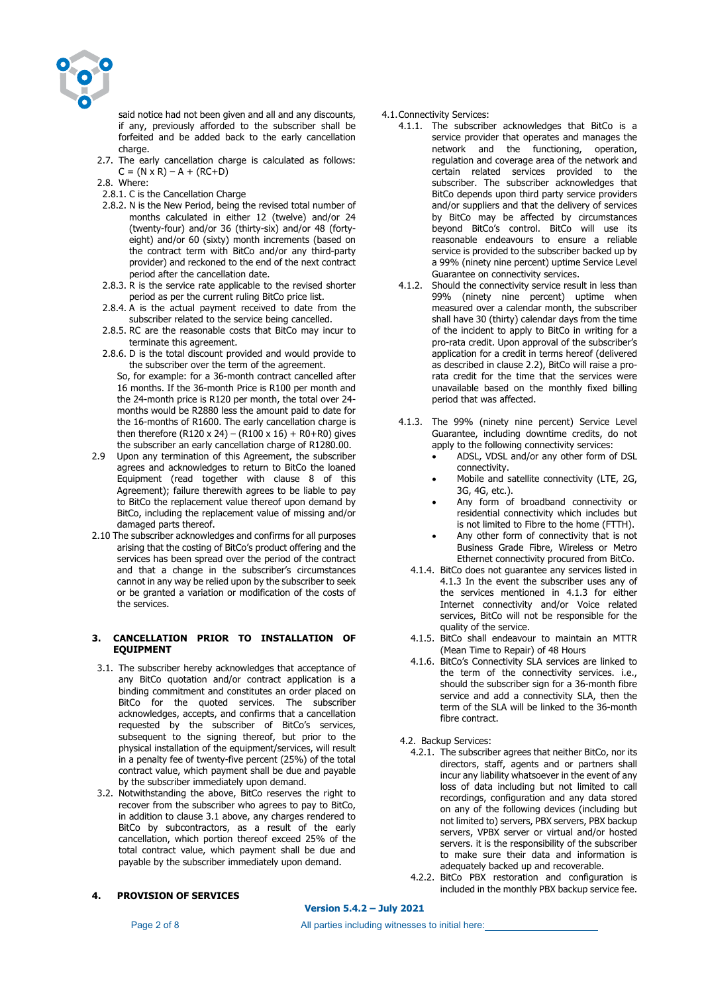

said notice had not been given and all and any discounts, if any, previously afforded to the subscriber shall be forfeited and be added back to the early cancellation charge.

- 2.7. The early cancellation charge is calculated as follows:  $C = (N \times R) - A + (RC + D)$
- 2.8. Where:
- 2.8.1. C is the Cancellation Charge
- 2.8.2. N is the New Period, being the revised total number of months calculated in either 12 (twelve) and/or 24 (twenty-four) and/or 36 (thirty-six) and/or 48 (fortyeight) and/or 60 (sixty) month increments (based on the contract term with BitCo and/or any third-party provider) and reckoned to the end of the next contract period after the cancellation date.
- 2.8.3. R is the service rate applicable to the revised shorter period as per the current ruling BitCo price list.
- 2.8.4. A is the actual payment received to date from the subscriber related to the service being cancelled.
- 2.8.5. RC are the reasonable costs that BitCo may incur to terminate this agreement.
- 2.8.6. D is the total discount provided and would provide to the subscriber over the term of the agreement.

So, for example: for a 36-month contract cancelled after 16 months. If the 36-month Price is R100 per month and the 24-month price is R120 per month, the total over 24 months would be R2880 less the amount paid to date for the 16-months of R1600. The early cancellation charge is then therefore (R120 x 24) – (R100 x 16) + R0+R0) gives the subscriber an early cancellation charge of R1280.00.

- 2.9 Upon any termination of this Agreement, the subscriber agrees and acknowledges to return to BitCo the loaned Equipment (read together with clause 8 of this Agreement); failure therewith agrees to be liable to pay to BitCo the replacement value thereof upon demand by BitCo, including the replacement value of missing and/or damaged parts thereof.
- 2.10 The subscriber acknowledges and confirms for all purposes arising that the costing of BitCo's product offering and the services has been spread over the period of the contract and that a change in the subscriber's circumstances cannot in any way be relied upon by the subscriber to seek or be granted a variation or modification of the costs of the services.

## **3. CANCELLATION PRIOR TO INSTALLATION OF EQUIPMENT**

- 3.1. The subscriber hereby acknowledges that acceptance of any BitCo quotation and/or contract application is a binding commitment and constitutes an order placed on BitCo for the quoted services. The subscriber acknowledges, accepts, and confirms that a cancellation requested by the subscriber of BitCo's services, subsequent to the signing thereof, but prior to the physical installation of the equipment/services, will result in a penalty fee of twenty-five percent (25%) of the total contract value, which payment shall be due and payable by the subscriber immediately upon demand.
- 3.2. Notwithstanding the above, BitCo reserves the right to recover from the subscriber who agrees to pay to BitCo, in addition to clause 3.1 above, any charges rendered to BitCo by subcontractors, as a result of the early cancellation, which portion thereof exceed 25% of the total contract value, which payment shall be due and payable by the subscriber immediately upon demand.

## **4. PROVISION OF SERVICES**

4.1.Connectivity Services:

- 4.1.1. The subscriber acknowledges that BitCo is a service provider that operates and manages the network and the functioning, operation, regulation and coverage area of the network and certain related services provided to the subscriber. The subscriber acknowledges that BitCo depends upon third party service providers and/or suppliers and that the delivery of services by BitCo may be affected by circumstances beyond BitCo's control. BitCo will use its reasonable endeavours to ensure a reliable service is provided to the subscriber backed up by a 99% (ninety nine percent) uptime Service Level Guarantee on connectivity services.
- 4.1.2. Should the connectivity service result in less than 99% (ninety nine percent) uptime when measured over a calendar month, the subscriber shall have 30 (thirty) calendar days from the time of the incident to apply to BitCo in writing for a pro-rata credit. Upon approval of the subscriber's application for a credit in terms hereof (delivered as described in clause 2.2), BitCo will raise a prorata credit for the time that the services were unavailable based on the monthly fixed billing period that was affected.
- 4.1.3. The 99% (ninety nine percent) Service Level Guarantee, including downtime credits, do not apply to the following connectivity services:
	- ADSL, VDSL and/or any other form of DSL connectivity.
	- Mobile and satellite connectivity (LTE, 2G, 3G, 4G, etc.).
	- Any form of broadband connectivity or residential connectivity which includes but is not limited to Fibre to the home (FTTH).
	- Any other form of connectivity that is not Business Grade Fibre, Wireless or Metro Ethernet connectivity procured from BitCo.
	- 4.1.4. BitCo does not guarantee any services listed in 4.1.3 In the event the subscriber uses any of the services mentioned in 4.1.3 for either Internet connectivity and/or Voice related services, BitCo will not be responsible for the quality of the service.
	- 4.1.5. BitCo shall endeavour to maintain an MTTR (Mean Time to Repair) of 48 Hours
	- 4.1.6. BitCo's Connectivity SLA services are linked to the term of the connectivity services. i.e., should the subscriber sign for a 36-month fibre service and add a connectivity SLA, then the term of the SLA will be linked to the 36-month fibre contract.
- 4.2. Backup Services:
	- 4.2.1. The subscriber agrees that neither BitCo, nor its directors, staff, agents and or partners shall incur any liability whatsoever in the event of any loss of data including but not limited to call recordings, configuration and any data stored on any of the following devices (including but not limited to) servers, PBX servers, PBX backup servers, VPBX server or virtual and/or hosted servers. it is the responsibility of the subscriber to make sure their data and information is adequately backed up and recoverable.
	- 4.2.2. BitCo PBX restoration and configuration is included in the monthly PBX backup service fee.

**Version 5.4.2 – July 2021**

Page 2 of 8 **All parties including witnesses to initial here:**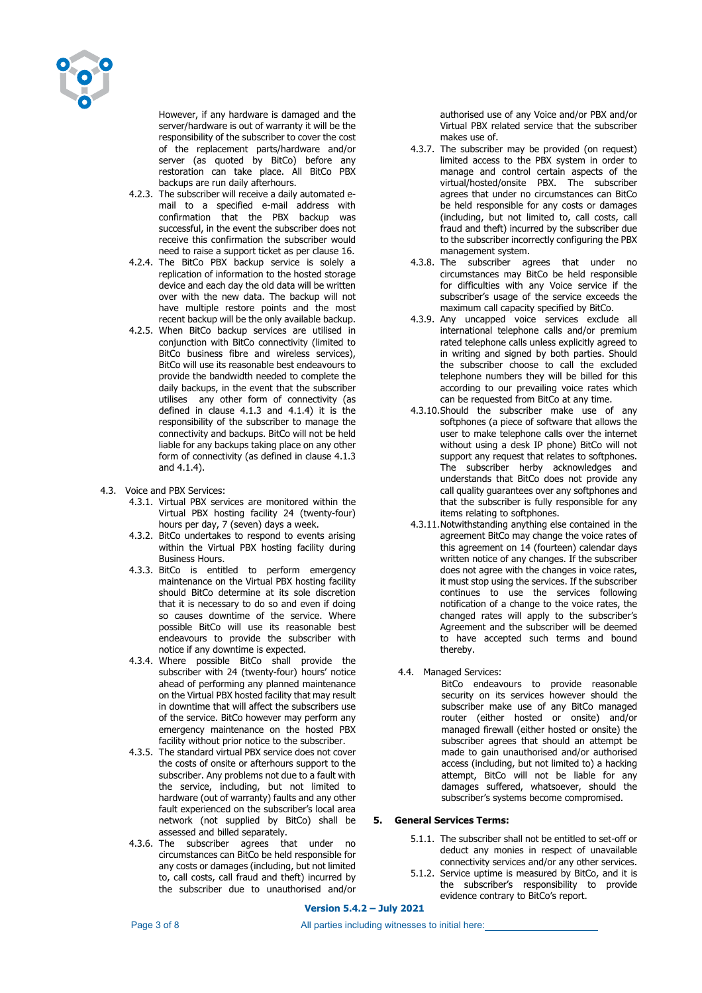

However, if any hardware is damaged and the server/hardware is out of warranty it will be the responsibility of the subscriber to cover the cost of the replacement parts/hardware and/or server (as quoted by BitCo) before any restoration can take place. All BitCo PBX backups are run daily afterhours.

- 4.2.3. The subscriber will receive a daily automated email to a specified e-mail address with confirmation that the PBX backup was successful, in the event the subscriber does not receive this confirmation the subscriber would need to raise a support ticket as per clause 16.
- 4.2.4. The BitCo PBX backup service is solely a replication of information to the hosted storage device and each day the old data will be written over with the new data. The backup will not have multiple restore points and the most recent backup will be the only available backup.
- 4.2.5. When BitCo backup services are utilised in conjunction with BitCo connectivity (limited to BitCo business fibre and wireless services), BitCo will use its reasonable best endeavours to provide the bandwidth needed to complete the daily backups, in the event that the subscriber utilises any other form of connectivity (as defined in clause 4.1.3 and 4.1.4) it is the responsibility of the subscriber to manage the connectivity and backups. BitCo will not be held liable for any backups taking place on any other form of connectivity (as defined in clause 4.1.3 and 4.1.4).
- 4.3. Voice and PBX Services:
	- 4.3.1. Virtual PBX services are monitored within the Virtual PBX hosting facility 24 (twenty-four) hours per day, 7 (seven) days a week.
	- 4.3.2. BitCo undertakes to respond to events arising within the Virtual PBX hosting facility during Business Hours.
	- 4.3.3. BitCo is entitled to perform emergency maintenance on the Virtual PBX hosting facility should BitCo determine at its sole discretion that it is necessary to do so and even if doing so causes downtime of the service. Where possible BitCo will use its reasonable best endeavours to provide the subscriber with notice if any downtime is expected.
	- 4.3.4. Where possible BitCo shall provide the subscriber with 24 (twenty-four) hours' notice ahead of performing any planned maintenance on the Virtual PBX hosted facility that may result in downtime that will affect the subscribers use of the service. BitCo however may perform any emergency maintenance on the hosted PBX facility without prior notice to the subscriber.
	- 4.3.5. The standard virtual PBX service does not cover the costs of onsite or afterhours support to the subscriber. Any problems not due to a fault with the service, including, but not limited to hardware (out of warranty) faults and any other fault experienced on the subscriber's local area network (not supplied by BitCo) shall be assessed and billed separately.
	- 4.3.6. The subscriber agrees that under no circumstances can BitCo be held responsible for any costs or damages (including, but not limited to, call costs, call fraud and theft) incurred by the subscriber due to unauthorised and/or

authorised use of any Voice and/or PBX and/or Virtual PBX related service that the subscriber makes use of.

- 4.3.7. The subscriber may be provided (on request) limited access to the PBX system in order to manage and control certain aspects of the virtual/hosted/onsite PBX. The subscriber agrees that under no circumstances can BitCo be held responsible for any costs or damages (including, but not limited to, call costs, call fraud and theft) incurred by the subscriber due to the subscriber incorrectly configuring the PBX management system.
- 4.3.8. The subscriber agrees that under no circumstances may BitCo be held responsible for difficulties with any Voice service if the subscriber's usage of the service exceeds the maximum call capacity specified by BitCo.
- 4.3.9. Any uncapped voice services exclude all international telephone calls and/or premium rated telephone calls unless explicitly agreed to in writing and signed by both parties. Should the subscriber choose to call the excluded telephone numbers they will be billed for this according to our prevailing voice rates which can be requested from BitCo at any time.
- 4.3.10.Should the subscriber make use of any softphones (a piece of software that allows the user to make telephone calls over the internet without using a desk IP phone) BitCo will not support any request that relates to softphones. The subscriber herby acknowledges and understands that BitCo does not provide any call quality guarantees over any softphones and that the subscriber is fully responsible for any items relating to softphones.
- 4.3.11.Notwithstanding anything else contained in the agreement BitCo may change the voice rates of this agreement on 14 (fourteen) calendar days written notice of any changes. If the subscriber does not agree with the changes in voice rates, it must stop using the services. If the subscriber continues to use the services following notification of a change to the voice rates, the changed rates will apply to the subscriber's Agreement and the subscriber will be deemed to have accepted such terms and bound thereby.
- 4.4. Managed Services:

BitCo endeavours to provide reasonable security on its services however should the subscriber make use of any BitCo managed router (either hosted or onsite) and/or managed firewall (either hosted or onsite) the subscriber agrees that should an attempt be made to gain unauthorised and/or authorised access (including, but not limited to) a hacking attempt, BitCo will not be liable for any damages suffered, whatsoever, should the subscriber's systems become compromised.

# **5. General Services Terms:**

- 5.1.1. The subscriber shall not be entitled to set-off or deduct any monies in respect of unavailable connectivity services and/or any other services.
- 5.1.2. Service uptime is measured by BitCo, and it is the subscriber's responsibility to provide evidence contrary to BitCo's report.

**Version 5.4.2 – July 2021**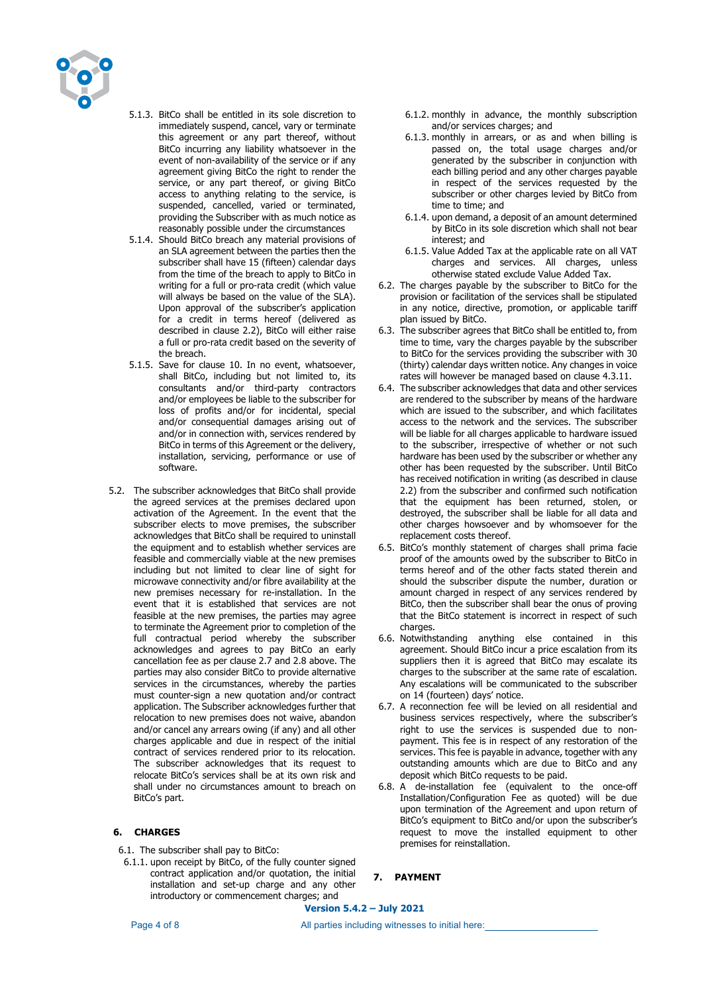

- 5.1.3. BitCo shall be entitled in its sole discretion to immediately suspend, cancel, vary or terminate this agreement or any part thereof, without BitCo incurring any liability whatsoever in the event of non-availability of the service or if any agreement giving BitCo the right to render the service, or any part thereof, or giving BitCo access to anything relating to the service, is suspended, cancelled, varied or terminated, providing the Subscriber with as much notice as reasonably possible under the circumstances
- 5.1.4. Should BitCo breach any material provisions of an SLA agreement between the parties then the subscriber shall have 15 (fifteen) calendar days from the time of the breach to apply to BitCo in writing for a full or pro-rata credit (which value will always be based on the value of the SLA). Upon approval of the subscriber's application for a credit in terms hereof (delivered as described in clause 2.2), BitCo will either raise a full or pro-rata credit based on the severity of the breach.
- 5.1.5. Save for clause 10. In no event, whatsoever, shall BitCo, including but not limited to, its consultants and/or third-party contractors and/or employees be liable to the subscriber for loss of profits and/or for incidental, special and/or consequential damages arising out of and/or in connection with, services rendered by BitCo in terms of this Agreement or the delivery, installation, servicing, performance or use of software.
- 5.2. The subscriber acknowledges that BitCo shall provide the agreed services at the premises declared upon activation of the Agreement. In the event that the subscriber elects to move premises, the subscriber acknowledges that BitCo shall be required to uninstall the equipment and to establish whether services are feasible and commercially viable at the new premises including but not limited to clear line of sight for microwave connectivity and/or fibre availability at the new premises necessary for re-installation. In the event that it is established that services are not feasible at the new premises, the parties may agree to terminate the Agreement prior to completion of the full contractual period whereby the subscriber acknowledges and agrees to pay BitCo an early cancellation fee as per clause 2.7 and 2.8 above. The parties may also consider BitCo to provide alternative services in the circumstances, whereby the parties must counter-sign a new quotation and/or contract application. The Subscriber acknowledges further that relocation to new premises does not waive, abandon and/or cancel any arrears owing (if any) and all other charges applicable and due in respect of the initial contract of services rendered prior to its relocation. The subscriber acknowledges that its request to relocate BitCo's services shall be at its own risk and shall under no circumstances amount to breach on BitCo's part.

# **6. CHARGES**

6.1. The subscriber shall pay to BitCo:

6.1.1. upon receipt by BitCo, of the fully counter signed contract application and/or quotation, the initial installation and set-up charge and any other introductory or commencement charges; and

- 6.1.2. monthly in advance, the monthly subscription and/or services charges; and
- 6.1.3. monthly in arrears, or as and when billing is passed on, the total usage charges and/or generated by the subscriber in conjunction with each billing period and any other charges payable in respect of the services requested by the subscriber or other charges levied by BitCo from time to time; and
- 6.1.4. upon demand, a deposit of an amount determined by BitCo in its sole discretion which shall not bear interest; and
- 6.1.5. Value Added Tax at the applicable rate on all VAT charges and services. All charges, unless otherwise stated exclude Value Added Tax.
- 6.2. The charges payable by the subscriber to BitCo for the provision or facilitation of the services shall be stipulated in any notice, directive, promotion, or applicable tariff plan issued by BitCo.
- 6.3. The subscriber agrees that BitCo shall be entitled to, from time to time, vary the charges payable by the subscriber to BitCo for the services providing the subscriber with 30 (thirty) calendar days written notice. Any changes in voice rates will however be managed based on clause 4.3.11.
- 6.4. The subscriber acknowledges that data and other services are rendered to the subscriber by means of the hardware which are issued to the subscriber, and which facilitates access to the network and the services. The subscriber will be liable for all charges applicable to hardware issued to the subscriber, irrespective of whether or not such hardware has been used by the subscriber or whether any other has been requested by the subscriber. Until BitCo has received notification in writing (as described in clause 2.2) from the subscriber and confirmed such notification that the equipment has been returned, stolen, or destroyed, the subscriber shall be liable for all data and other charges howsoever and by whomsoever for the replacement costs thereof.
- 6.5. BitCo's monthly statement of charges shall prima facie proof of the amounts owed by the subscriber to BitCo in terms hereof and of the other facts stated therein and should the subscriber dispute the number, duration or amount charged in respect of any services rendered by BitCo, then the subscriber shall bear the onus of proving that the BitCo statement is incorrect in respect of such charges.
- 6.6. Notwithstanding anything else contained in this agreement. Should BitCo incur a price escalation from its suppliers then it is agreed that BitCo may escalate its charges to the subscriber at the same rate of escalation. Any escalations will be communicated to the subscriber on 14 (fourteen) days' notice.
- 6.7. A reconnection fee will be levied on all residential and business services respectively, where the subscriber's right to use the services is suspended due to nonpayment. This fee is in respect of any restoration of the services. This fee is payable in advance, together with any outstanding amounts which are due to BitCo and any deposit which BitCo requests to be paid.
- 6.8. A de-installation fee (equivalent to the once-off Installation/Configuration Fee as quoted) will be due upon termination of the Agreement and upon return of BitCo's equipment to BitCo and/or upon the subscriber's request to move the installed equipment to other premises for reinstallation.

#### **7. PAYMENT**

**Version 5.4.2 – July 2021**

Page 4 of 8 **All parties including witnesses to initial here:**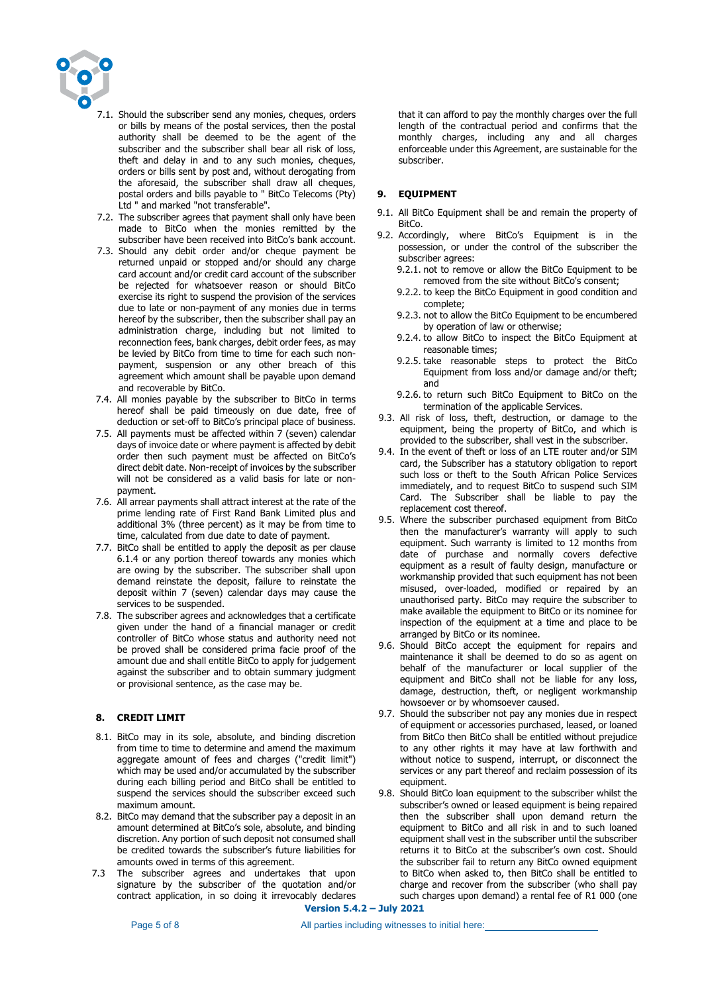

- 7.1. Should the subscriber send any monies, cheques, orders or bills by means of the postal services, then the postal authority shall be deemed to be the agent of the subscriber and the subscriber shall bear all risk of loss, theft and delay in and to any such monies, cheques, orders or bills sent by post and, without derogating from the aforesaid, the subscriber shall draw all cheques, postal orders and bills payable to " BitCo Telecoms (Pty) Ltd " and marked "not transferable".
- 7.2. The subscriber agrees that payment shall only have been made to BitCo when the monies remitted by the subscriber have been received into BitCo's bank account.
- 7.3. Should any debit order and/or cheque payment be returned unpaid or stopped and/or should any charge card account and/or credit card account of the subscriber be rejected for whatsoever reason or should BitCo exercise its right to suspend the provision of the services due to late or non-payment of any monies due in terms hereof by the subscriber, then the subscriber shall pay an administration charge, including but not limited to reconnection fees, bank charges, debit order fees, as may be levied by BitCo from time to time for each such nonpayment, suspension or any other breach of this agreement which amount shall be payable upon demand and recoverable by BitCo.
- 7.4. All monies payable by the subscriber to BitCo in terms hereof shall be paid timeously on due date, free of deduction or set-off to BitCo's principal place of business.
- 7.5. All payments must be affected within 7 (seven) calendar days of invoice date or where payment is affected by debit order then such payment must be affected on BitCo's direct debit date. Non-receipt of invoices by the subscriber will not be considered as a valid basis for late or nonpayment.
- 7.6. All arrear payments shall attract interest at the rate of the prime lending rate of First Rand Bank Limited plus and additional 3% (three percent) as it may be from time to time, calculated from due date to date of payment.
- 7.7. BitCo shall be entitled to apply the deposit as per clause 6.1.4 or any portion thereof towards any monies which are owing by the subscriber. The subscriber shall upon demand reinstate the deposit, failure to reinstate the deposit within 7 (seven) calendar days may cause the services to be suspended.
- 7.8. The subscriber agrees and acknowledges that a certificate given under the hand of a financial manager or credit controller of BitCo whose status and authority need not be proved shall be considered prima facie proof of the amount due and shall entitle BitCo to apply for judgement against the subscriber and to obtain summary judgment or provisional sentence, as the case may be.

#### **8. CREDIT LIMIT**

- 8.1. BitCo may in its sole, absolute, and binding discretion from time to time to determine and amend the maximum aggregate amount of fees and charges ("credit limit") which may be used and/or accumulated by the subscriber during each billing period and BitCo shall be entitled to suspend the services should the subscriber exceed such maximum amount.
- 8.2. BitCo may demand that the subscriber pay a deposit in an amount determined at BitCo's sole, absolute, and binding discretion. Any portion of such deposit not consumed shall be credited towards the subscriber's future liabilities for amounts owed in terms of this agreement.
- 7.3 The subscriber agrees and undertakes that upon signature by the subscriber of the quotation and/or contract application, in so doing it irrevocably declares

that it can afford to pay the monthly charges over the full length of the contractual period and confirms that the monthly charges, including any and all charges enforceable under this Agreement, are sustainable for the subscriber.

## **9. EQUIPMENT**

- 9.1. All BitCo Equipment shall be and remain the property of BitCo.
- 9.2. Accordingly, where BitCo's Equipment is in the possession, or under the control of the subscriber the subscriber agrees:
	- 9.2.1. not to remove or allow the BitCo Equipment to be removed from the site without BitCo's consent;
	- 9.2.2. to keep the BitCo Equipment in good condition and complete;
	- 9.2.3. not to allow the BitCo Equipment to be encumbered by operation of law or otherwise;
	- 9.2.4. to allow BitCo to inspect the BitCo Equipment at reasonable times;
	- 9.2.5. take reasonable steps to protect the BitCo Equipment from loss and/or damage and/or theft; and
	- 9.2.6. to return such BitCo Equipment to BitCo on the termination of the applicable Services.
- 9.3. All risk of loss, theft, destruction, or damage to the equipment, being the property of BitCo, and which is provided to the subscriber, shall vest in the subscriber.
- 9.4. In the event of theft or loss of an LTE router and/or SIM card, the Subscriber has a statutory obligation to report such loss or theft to the South African Police Services immediately, and to request BitCo to suspend such SIM Card. The Subscriber shall be liable to pay the replacement cost thereof.
- 9.5. Where the subscriber purchased equipment from BitCo then the manufacturer's warranty will apply to such equipment. Such warranty is limited to 12 months from date of purchase and normally covers defective equipment as a result of faulty design, manufacture or workmanship provided that such equipment has not been misused, over-loaded, modified or repaired by an unauthorised party. BitCo may require the subscriber to make available the equipment to BitCo or its nominee for inspection of the equipment at a time and place to be arranged by BitCo or its nominee.
- 9.6. Should BitCo accept the equipment for repairs and maintenance it shall be deemed to do so as agent on behalf of the manufacturer or local supplier of the equipment and BitCo shall not be liable for any loss, damage, destruction, theft, or negligent workmanship howsoever or by whomsoever caused.
- 9.7. Should the subscriber not pay any monies due in respect of equipment or accessories purchased, leased, or loaned from BitCo then BitCo shall be entitled without prejudice to any other rights it may have at law forthwith and without notice to suspend, interrupt, or disconnect the services or any part thereof and reclaim possession of its equipment.
- 9.8. Should BitCo loan equipment to the subscriber whilst the subscriber's owned or leased equipment is being repaired then the subscriber shall upon demand return the equipment to BitCo and all risk in and to such loaned equipment shall vest in the subscriber until the subscriber returns it to BitCo at the subscriber's own cost. Should the subscriber fail to return any BitCo owned equipment to BitCo when asked to, then BitCo shall be entitled to charge and recover from the subscriber (who shall pay such charges upon demand) a rental fee of R1 000 (one

**Version 5.4.2 – July 2021**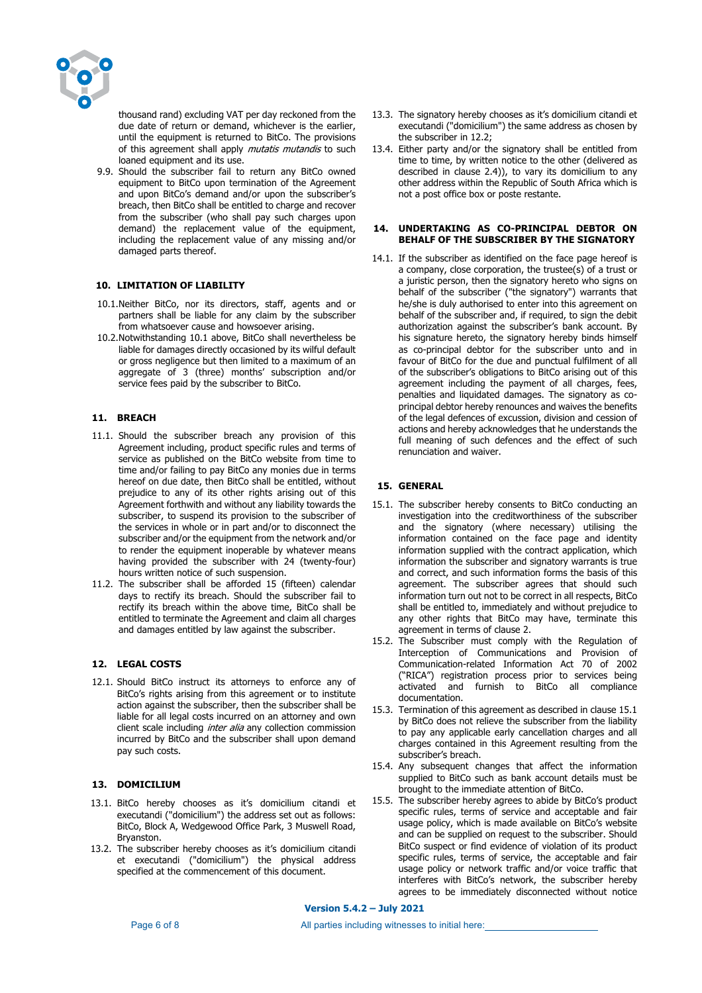

thousand rand) excluding VAT per day reckoned from the due date of return or demand, whichever is the earlier, until the equipment is returned to BitCo. The provisions of this agreement shall apply mutatis mutandis to such loaned equipment and its use.

9.9. Should the subscriber fail to return any BitCo owned equipment to BitCo upon termination of the Agreement and upon BitCo's demand and/or upon the subscriber's breach, then BitCo shall be entitled to charge and recover from the subscriber (who shall pay such charges upon demand) the replacement value of the equipment, including the replacement value of any missing and/or damaged parts thereof.

## **10. LIMITATION OF LIABILITY**

- 10.1.Neither BitCo, nor its directors, staff, agents and or partners shall be liable for any claim by the subscriber from whatsoever cause and howsoever arising.
- 10.2.Notwithstanding 10.1 above, BitCo shall nevertheless be liable for damages directly occasioned by its wilful default or gross negligence but then limited to a maximum of an aggregate of 3 (three) months' subscription and/or service fees paid by the subscriber to BitCo.

## **11. BREACH**

- 11.1. Should the subscriber breach any provision of this Agreement including, product specific rules and terms of service as published on the BitCo website from time to time and/or failing to pay BitCo any monies due in terms hereof on due date, then BitCo shall be entitled, without prejudice to any of its other rights arising out of this Agreement forthwith and without any liability towards the subscriber, to suspend its provision to the subscriber of the services in whole or in part and/or to disconnect the subscriber and/or the equipment from the network and/or to render the equipment inoperable by whatever means having provided the subscriber with 24 (twenty-four) hours written notice of such suspension.
- 11.2. The subscriber shall be afforded 15 (fifteen) calendar days to rectify its breach. Should the subscriber fail to rectify its breach within the above time, BitCo shall be entitled to terminate the Agreement and claim all charges and damages entitled by law against the subscriber.

## **12. LEGAL COSTS**

12.1. Should BitCo instruct its attorneys to enforce any of BitCo's rights arising from this agreement or to institute action against the subscriber, then the subscriber shall be liable for all legal costs incurred on an attorney and own client scale including *inter alia* any collection commission incurred by BitCo and the subscriber shall upon demand pay such costs.

#### **13. DOMICILIUM**

- 13.1. BitCo hereby chooses as it's domicilium citandi et executandi ("domicilium") the address set out as follows: BitCo, Block A, Wedgewood Office Park, 3 Muswell Road, Bryanston.
- 13.2. The subscriber hereby chooses as it's domicilium citandi et executandi ("domicilium") the physical address specified at the commencement of this document.
- 13.3. The signatory hereby chooses as it's domicilium citandi et executandi ("domicilium") the same address as chosen by the subscriber in 12.2;
- 13.4. Either party and/or the signatory shall be entitled from time to time, by written notice to the other (delivered as described in clause 2.4)), to vary its domicilium to any other address within the Republic of South Africa which is not a post office box or poste restante.

#### **14. UNDERTAKING AS CO-PRINCIPAL DEBTOR ON BEHALF OF THE SUBSCRIBER BY THE SIGNATORY**

14.1. If the subscriber as identified on the face page hereof is a company, close corporation, the trustee(s) of a trust or a juristic person, then the signatory hereto who signs on behalf of the subscriber ("the signatory") warrants that he/she is duly authorised to enter into this agreement on behalf of the subscriber and, if required, to sign the debit authorization against the subscriber's bank account. By his signature hereto, the signatory hereby binds himself as co-principal debtor for the subscriber unto and in favour of BitCo for the due and punctual fulfilment of all of the subscriber's obligations to BitCo arising out of this agreement including the payment of all charges, fees, penalties and liquidated damages. The signatory as coprincipal debtor hereby renounces and waives the benefits of the legal defences of excussion, division and cession of actions and hereby acknowledges that he understands the full meaning of such defences and the effect of such renunciation and waiver.

# **15. GENERAL**

- 15.1. The subscriber hereby consents to BitCo conducting an investigation into the creditworthiness of the subscriber and the signatory (where necessary) utilising the information contained on the face page and identity information supplied with the contract application, which information the subscriber and signatory warrants is true and correct, and such information forms the basis of this agreement. The subscriber agrees that should such information turn out not to be correct in all respects, BitCo shall be entitled to, immediately and without prejudice to any other rights that BitCo may have, terminate this agreement in terms of clause 2.
- 15.2. The Subscriber must comply with the Regulation of Interception of Communications and Provision of Communication-related Information Act 70 of 2002 ("RICA") registration process prior to services being activated and furnish to BitCo all compliance documentation.
- 15.3. Termination of this agreement as described in clause 15.1 by BitCo does not relieve the subscriber from the liability to pay any applicable early cancellation charges and all charges contained in this Agreement resulting from the subscriber's breach.
- 15.4. Any subsequent changes that affect the information supplied to BitCo such as bank account details must be brought to the immediate attention of BitCo.
- 15.5. The subscriber hereby agrees to abide by BitCo's product specific rules, terms of service and acceptable and fair usage policy, which is made available on BitCo's website and can be supplied on request to the subscriber. Should BitCo suspect or find evidence of violation of its product specific rules, terms of service, the acceptable and fair usage policy or network traffic and/or voice traffic that interferes with BitCo's network, the subscriber hereby agrees to be immediately disconnected without notice

**Version 5.4.2 – July 2021**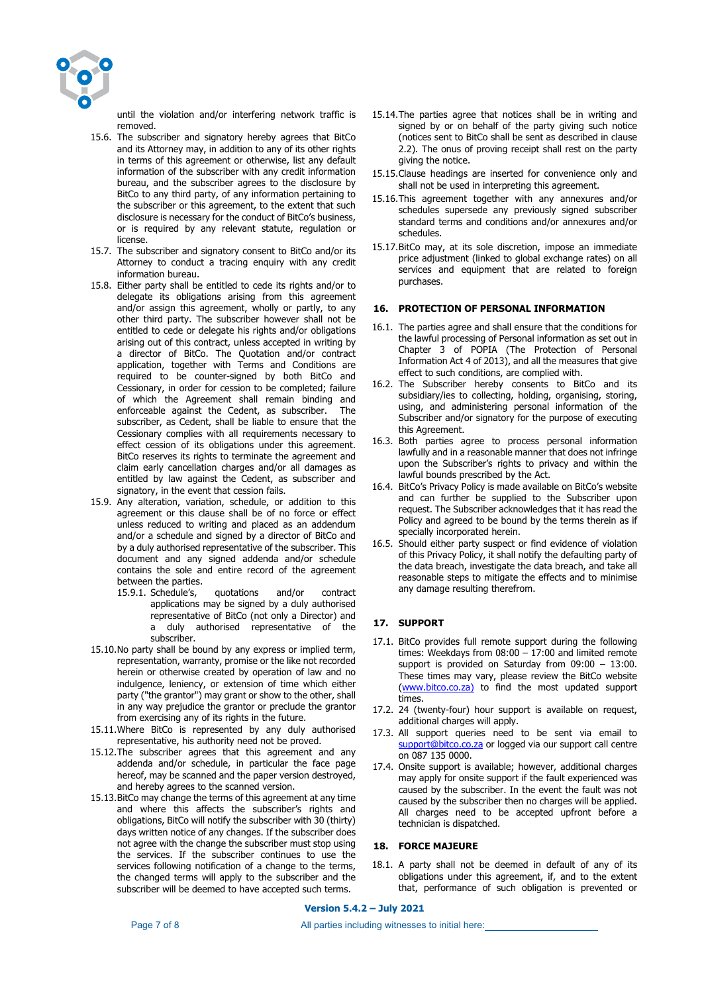

until the violation and/or interfering network traffic is removed.

- 15.6. The subscriber and signatory hereby agrees that BitCo and its Attorney may, in addition to any of its other rights in terms of this agreement or otherwise, list any default information of the subscriber with any credit information bureau, and the subscriber agrees to the disclosure by BitCo to any third party, of any information pertaining to the subscriber or this agreement, to the extent that such disclosure is necessary for the conduct of BitCo's business, or is required by any relevant statute, regulation or license.
- 15.7. The subscriber and signatory consent to BitCo and/or its Attorney to conduct a tracing enquiry with any credit information bureau.
- 15.8. Either party shall be entitled to cede its rights and/or to delegate its obligations arising from this agreement and/or assign this agreement, wholly or partly, to any other third party. The subscriber however shall not be entitled to cede or delegate his rights and/or obligations arising out of this contract, unless accepted in writing by a director of BitCo. The Quotation and/or contract application, together with Terms and Conditions are required to be counter-signed by both BitCo and Cessionary, in order for cession to be completed; failure of which the Agreement shall remain binding and enforceable against the Cedent, as subscriber. The subscriber, as Cedent, shall be liable to ensure that the Cessionary complies with all requirements necessary to effect cession of its obligations under this agreement. BitCo reserves its rights to terminate the agreement and claim early cancellation charges and/or all damages as entitled by law against the Cedent, as subscriber and signatory, in the event that cession fails.
- 15.9. Any alteration, variation, schedule, or addition to this agreement or this clause shall be of no force or effect unless reduced to writing and placed as an addendum and/or a schedule and signed by a director of BitCo and by a duly authorised representative of the subscriber. This document and any signed addenda and/or schedule contains the sole and entire record of the agreement between the parties.
	- 15.9.1. Schedule's, quotations and/or contract applications may be signed by a duly authorised representative of BitCo (not only a Director) and a duly authorised representative of the subscriber.
- 15.10.No party shall be bound by any express or implied term, representation, warranty, promise or the like not recorded herein or otherwise created by operation of law and no indulgence, leniency, or extension of time which either party ("the grantor") may grant or show to the other, shall in any way prejudice the grantor or preclude the grantor from exercising any of its rights in the future.
- 15.11.Where BitCo is represented by any duly authorised representative, his authority need not be proved.
- 15.12.The subscriber agrees that this agreement and any addenda and/or schedule, in particular the face page hereof, may be scanned and the paper version destroyed, and hereby agrees to the scanned version.
- 15.13.BitCo may change the terms of this agreement at any time and where this affects the subscriber's rights and obligations, BitCo will notify the subscriber with 30 (thirty) days written notice of any changes. If the subscriber does not agree with the change the subscriber must stop using the services. If the subscriber continues to use the services following notification of a change to the terms, the changed terms will apply to the subscriber and the subscriber will be deemed to have accepted such terms.
- 15.14.The parties agree that notices shall be in writing and signed by or on behalf of the party giving such notice (notices sent to BitCo shall be sent as described in clause 2.2). The onus of proving receipt shall rest on the party giving the notice.
- 15.15.Clause headings are inserted for convenience only and shall not be used in interpreting this agreement.
- 15.16.This agreement together with any annexures and/or schedules supersede any previously signed subscriber standard terms and conditions and/or annexures and/or schedules.
- 15.17.BitCo may, at its sole discretion, impose an immediate price adjustment (linked to global exchange rates) on all services and equipment that are related to foreign purchases.

## **16. PROTECTION OF PERSONAL INFORMATION**

- 16.1. The parties agree and shall ensure that the conditions for the lawful processing of Personal information as set out in Chapter 3 of POPIA (The Protection of Personal Information Act 4 of 2013), and all the measures that give effect to such conditions, are complied with.
- 16.2. The Subscriber hereby consents to BitCo and its subsidiary/ies to collecting, holding, organising, storing, using, and administering personal information of the Subscriber and/or signatory for the purpose of executing this Agreement.
- 16.3. Both parties agree to process personal information lawfully and in a reasonable manner that does not infringe upon the Subscriber's rights to privacy and within the lawful bounds prescribed by the Act.
- 16.4. BitCo's Privacy Policy is made available on BitCo's website and can further be supplied to the Subscriber upon request. The Subscriber acknowledges that it has read the Policy and agreed to be bound by the terms therein as if specially incorporated herein.
- 16.5. Should either party suspect or find evidence of violation of this Privacy Policy, it shall notify the defaulting party of the data breach, investigate the data breach, and take all reasonable steps to mitigate the effects and to minimise any damage resulting therefrom.

## **17. SUPPORT**

- 17.1. BitCo provides full remote support during the following times: Weekdays from 08:00 – 17:00 and limited remote support is provided on Saturday from 09:00 – 13:00. These times may vary, please review the BitCo website (www.bitco.co.za) to find the most updated support times.
- 17.2. 24 (twenty-four) hour support is available on request, additional charges will apply.
- 17.3. All support queries need to be sent via email to support@bitco.co.za or logged via our support call centre on 087 135 0000.
- 17.4. Onsite support is available; however, additional charges may apply for onsite support if the fault experienced was caused by the subscriber. In the event the fault was not caused by the subscriber then no charges will be applied. All charges need to be accepted upfront before a technician is dispatched.

## **18. FORCE MAJEURE**

18.1. A party shall not be deemed in default of any of its obligations under this agreement, if, and to the extent that, performance of such obligation is prevented or

## **Version 5.4.2 – July 2021**

Page 7 of 8 All parties including witnesses to initial here: